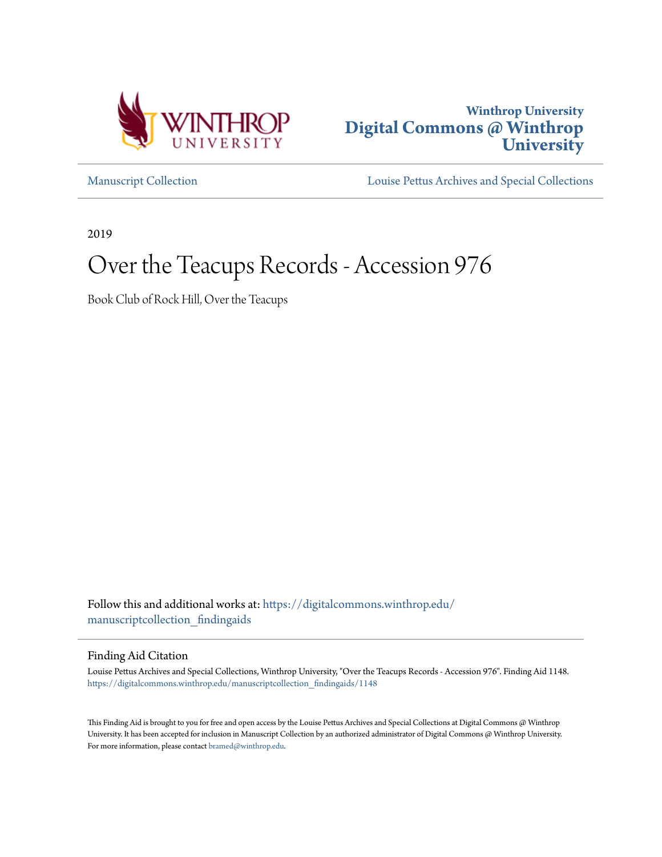



[Manuscript Collection](https://digitalcommons.winthrop.edu/manuscriptcollection_findingaids?utm_source=digitalcommons.winthrop.edu%2Fmanuscriptcollection_findingaids%2F1148&utm_medium=PDF&utm_campaign=PDFCoverPages) [Louise Pettus Archives and Special Collections](https://digitalcommons.winthrop.edu/pettus_archives?utm_source=digitalcommons.winthrop.edu%2Fmanuscriptcollection_findingaids%2F1148&utm_medium=PDF&utm_campaign=PDFCoverPages)

2019

# Over the Teacups Records - Accession 976

Book Club of Rock Hill, Over the Teacups

Follow this and additional works at: [https://digitalcommons.winthrop.edu/](https://digitalcommons.winthrop.edu/manuscriptcollection_findingaids?utm_source=digitalcommons.winthrop.edu%2Fmanuscriptcollection_findingaids%2F1148&utm_medium=PDF&utm_campaign=PDFCoverPages) [manuscriptcollection\\_findingaids](https://digitalcommons.winthrop.edu/manuscriptcollection_findingaids?utm_source=digitalcommons.winthrop.edu%2Fmanuscriptcollection_findingaids%2F1148&utm_medium=PDF&utm_campaign=PDFCoverPages)

Finding Aid Citation

Louise Pettus Archives and Special Collections, Winthrop University, "Over the Teacups Records - Accession 976". Finding Aid 1148. [https://digitalcommons.winthrop.edu/manuscriptcollection\\_findingaids/1148](https://digitalcommons.winthrop.edu/manuscriptcollection_findingaids/1148?utm_source=digitalcommons.winthrop.edu%2Fmanuscriptcollection_findingaids%2F1148&utm_medium=PDF&utm_campaign=PDFCoverPages)

This Finding Aid is brought to you for free and open access by the Louise Pettus Archives and Special Collections at Digital Commons @ Winthrop University. It has been accepted for inclusion in Manuscript Collection by an authorized administrator of Digital Commons @ Winthrop University. For more information, please contact [bramed@winthrop.edu.](mailto:bramed@winthrop.edu)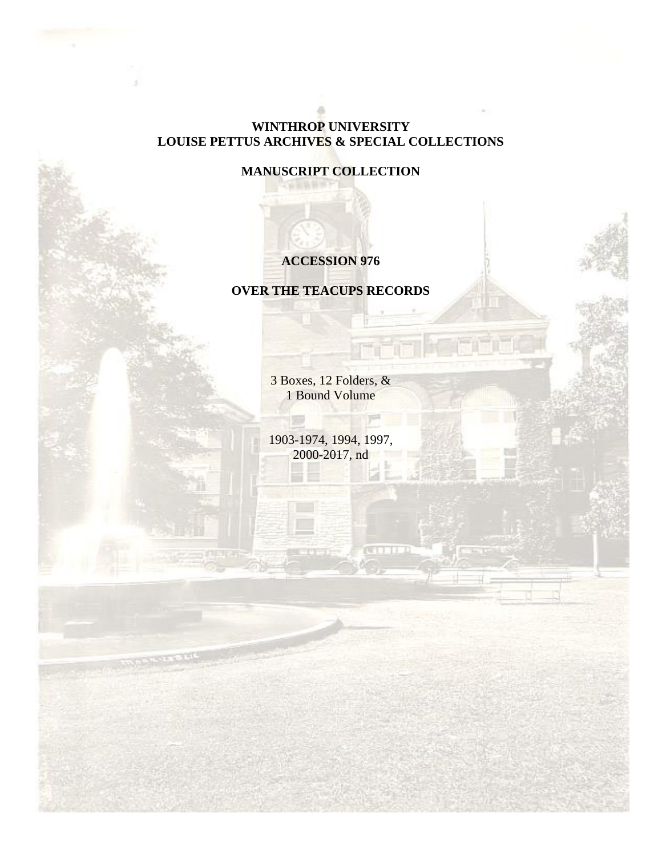# **WINTHROP UNIVERSITY LOUISE PETTUS ARCHIVES & SPECIAL COLLECTIONS**

**MANUSCRIPT COLLECTION**

## **ACCESSION 976**

## **OVER THE TEACUPS RECORDS**

3 Boxes, 12 Folders, & 1 Bound Volume

1903-1974, 1994, 1997, 2000-2017, nd

**CONTRACTO**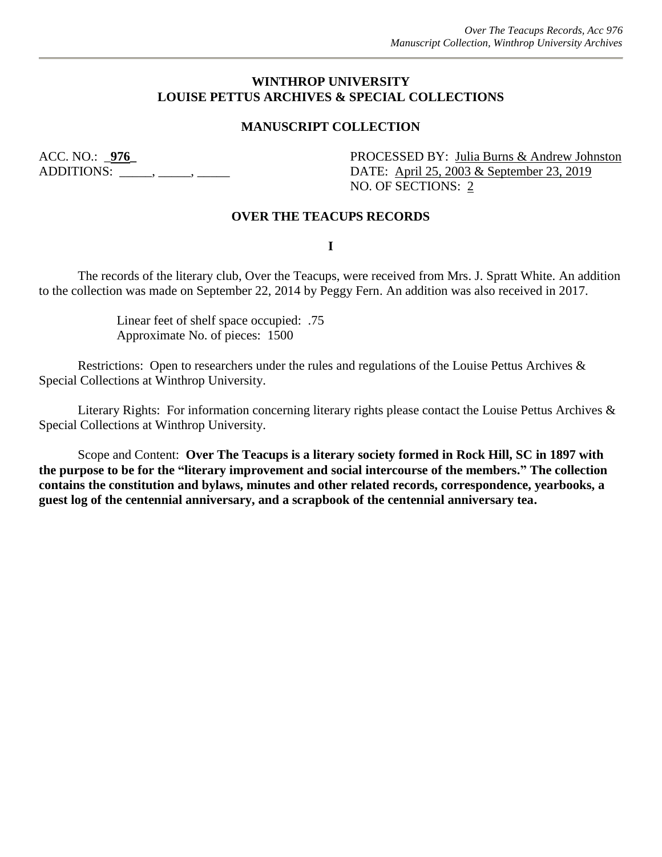## **WINTHROP UNIVERSITY LOUISE PETTUS ARCHIVES & SPECIAL COLLECTIONS**

### **MANUSCRIPT COLLECTION**

ACC. NO.: <u>976</u><br>ADDITIONS: \_\_\_\_\_\_, \_\_\_\_\_\_, \_\_\_\_\_\_\_, DATE: <u>April 25, 2003 & September 23, 2019</u> DATE: April 25, 2003 & September 23, 2019 NO. OF SECTIONS: 2

#### **OVER THE TEACUPS RECORDS**

**I**

The records of the literary club, Over the Teacups, were received from Mrs. J. Spratt White. An addition to the collection was made on September 22, 2014 by Peggy Fern. An addition was also received in 2017.

> Linear feet of shelf space occupied: .75 Approximate No. of pieces: 1500

Restrictions: Open to researchers under the rules and regulations of the Louise Pettus Archives & Special Collections at Winthrop University.

Literary Rights: For information concerning literary rights please contact the Louise Pettus Archives & Special Collections at Winthrop University.

Scope and Content: **Over The Teacups is a literary society formed in Rock Hill, SC in 1897 with the purpose to be for the "literary improvement and social intercourse of the members." The collection contains the constitution and bylaws, minutes and other related records, correspondence, yearbooks, a guest log of the centennial anniversary, and a scrapbook of the centennial anniversary tea.**